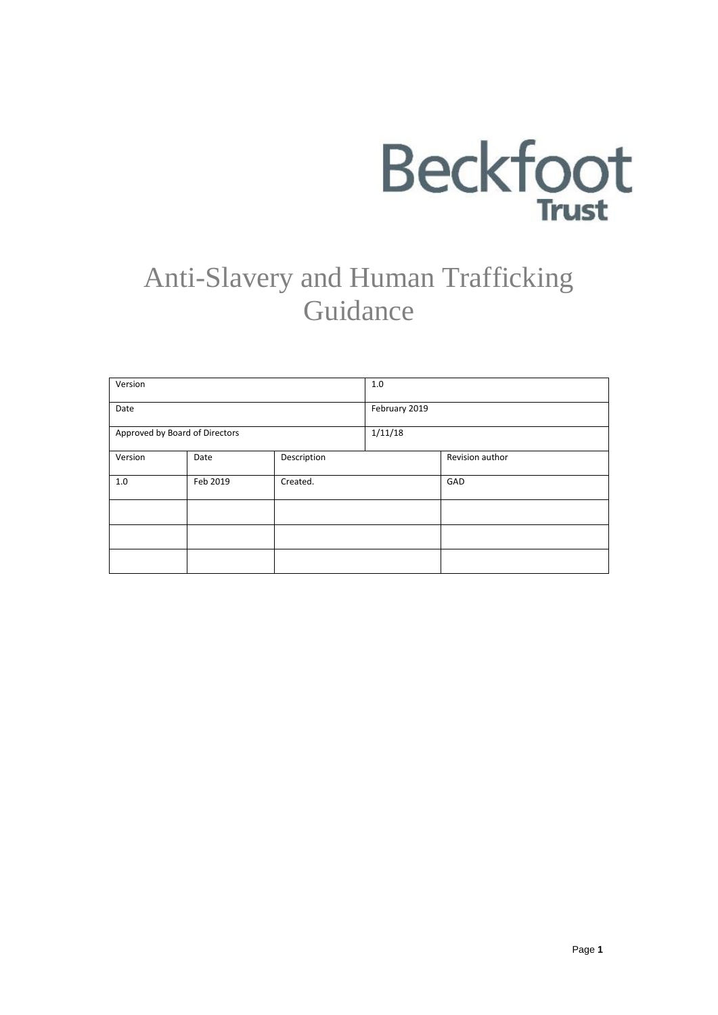

# Anti-Slavery and Human Trafficking Guidance

| Version                        |          |             | 1.0           |                 |
|--------------------------------|----------|-------------|---------------|-----------------|
| Date                           |          |             | February 2019 |                 |
| Approved by Board of Directors |          |             | 1/11/18       |                 |
| Version                        | Date     | Description |               | Revision author |
| 1.0                            | Feb 2019 | Created.    |               | GAD             |
|                                |          |             |               |                 |
|                                |          |             |               |                 |
|                                |          |             |               |                 |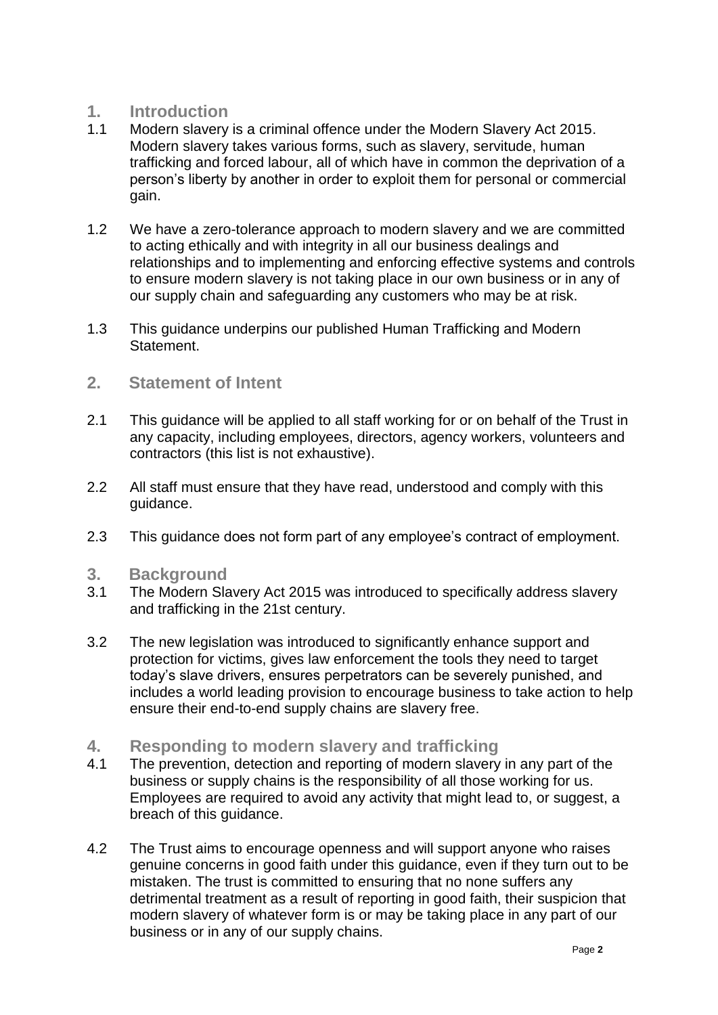## **1. Introduction**

- Modern slavery is a criminal offence under the Modern Slavery Act 2015. Modern slavery takes various forms, such as slavery, servitude, human trafficking and forced labour, all of which have in common the deprivation of a person's liberty by another in order to exploit them for personal or commercial gain.
- 1.2 We have a zero-tolerance approach to modern slavery and we are committed to acting ethically and with integrity in all our business dealings and relationships and to implementing and enforcing effective systems and controls to ensure modern slavery is not taking place in our own business or in any of our supply chain and safeguarding any customers who may be at risk.
- 1.3 This guidance underpins our published Human Trafficking and Modern Statement.

#### **2. Statement of Intent**

- 2.1 This guidance will be applied to all staff working for or on behalf of the Trust in any capacity, including employees, directors, agency workers, volunteers and contractors (this list is not exhaustive).
- 2.2 All staff must ensure that they have read, understood and comply with this guidance.
- 2.3 This guidance does not form part of any employee's contract of employment.

#### **3. Background**

- 3.1 The Modern Slavery Act 2015 was introduced to specifically address slavery and trafficking in the 21st century.
- 3.2 The new legislation was introduced to significantly enhance support and protection for victims, gives law enforcement the tools they need to target today's slave drivers, ensures perpetrators can be severely punished, and includes a world leading provision to encourage business to take action to help ensure their end-to-end supply chains are slavery free.
- **4. Responding to modern slavery and trafficking**
- The prevention, detection and reporting of modern slavery in any part of the business or supply chains is the responsibility of all those working for us. Employees are required to avoid any activity that might lead to, or suggest, a breach of this guidance.
- 4.2 The Trust aims to encourage openness and will support anyone who raises genuine concerns in good faith under this guidance, even if they turn out to be mistaken. The trust is committed to ensuring that no none suffers any detrimental treatment as a result of reporting in good faith, their suspicion that modern slavery of whatever form is or may be taking place in any part of our business or in any of our supply chains.